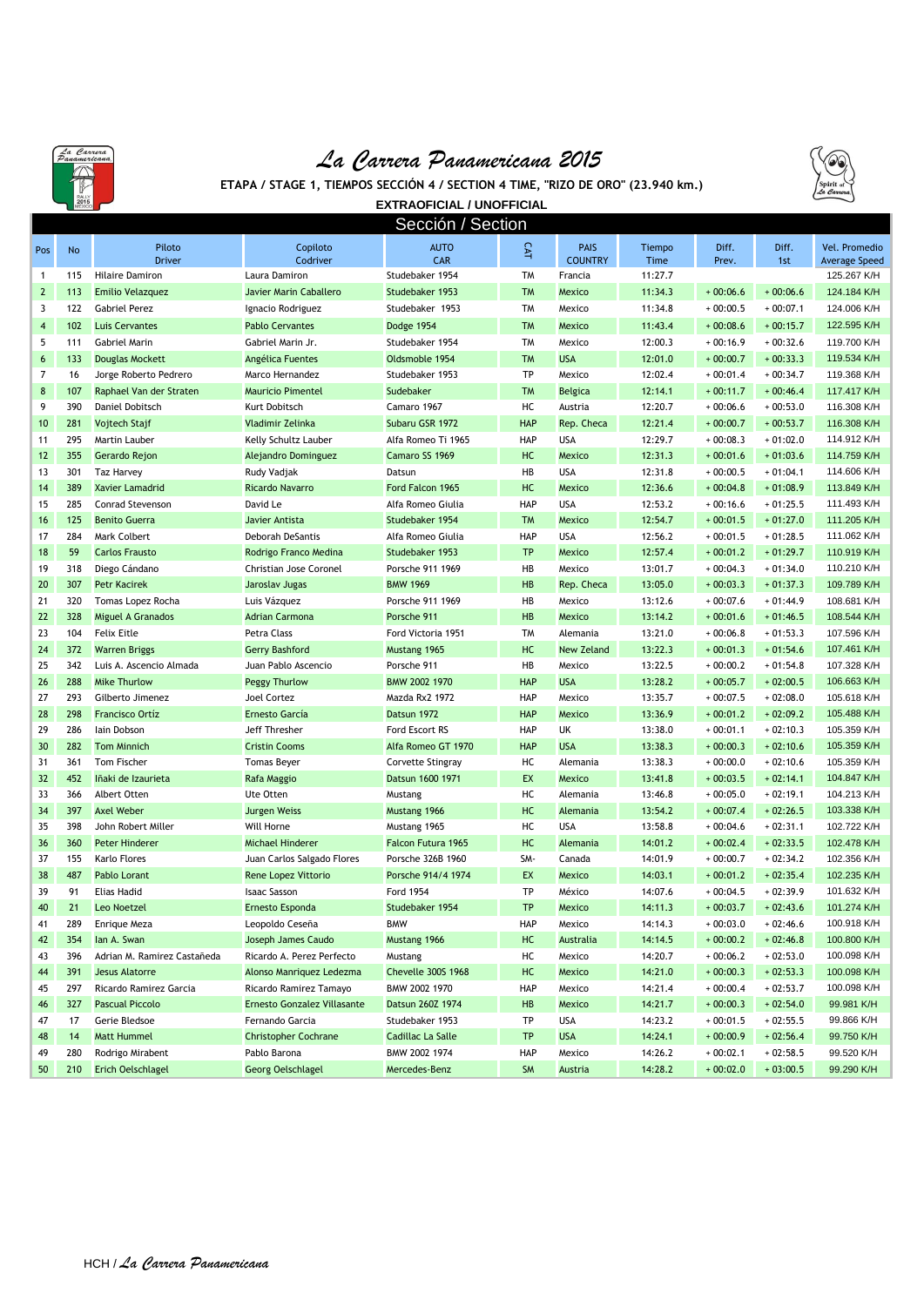

## *La Carrera Panamericana 2015*



**ETAPA / STAGE 1, TIEMPOS SECCIÓN 4 / SECTION 4 TIME, "RIZO DE ORO" (23.940 km.)**

|                   | RALLY<br>2015<br>MEXICO |                             |                             | <b>EXTRAOFICIAL / UNOFFICIAL</b> |            |                   |         |                          |            | $rac{1}{2}$   |
|-------------------|-------------------------|-----------------------------|-----------------------------|----------------------------------|------------|-------------------|---------|--------------------------|------------|---------------|
| Sección / Section |                         |                             |                             |                                  |            |                   |         |                          |            |               |
|                   |                         |                             |                             |                                  |            |                   |         |                          |            |               |
| Pos               | <b>No</b>               | Piloto                      | Copiloto                    | <b>AUTO</b>                      | CAT        | <b>PAIS</b>       | Tiempo  | Diff.                    | Diff.      | Vel. Promedio |
|                   |                         | <b>Driver</b>               | Codriver                    | <b>CAR</b>                       |            | <b>COUNTRY</b>    | Time    | Prev.                    | 1st        | Average Speed |
| $\mathbf{1}$      | 115                     | <b>Hilaire Damiron</b>      | Laura Damiron               | Studebaker 1954                  | <b>TM</b>  | Francia           | 11:27.7 |                          |            | 125.267 K/H   |
| $\overline{2}$    | 113                     | <b>Emilio Velazquez</b>     | Javier Marin Caballero      | Studebaker 1953                  | <b>TM</b>  | Mexico            | 11:34.3 | $+00:06.6$               | $+00:06.6$ | 124.184 K/H   |
| 3                 | 122                     | <b>Gabriel Perez</b>        | Ignacio Rodriguez           | Studebaker 1953                  | <b>TM</b>  | Mexico            | 11:34.8 | $+00:00.5$               | $+00:07.1$ | 124.006 K/H   |
| $\overline{4}$    | 102                     | <b>Luis Cervantes</b>       | <b>Pablo Cervantes</b>      | Dodge 1954                       | <b>TM</b>  | Mexico            | 11:43.4 | $+00:08.6$               | $+00:15.7$ | 122.595 K/H   |
| 5                 | 111                     | <b>Gabriel Marin</b>        | Gabriel Marin Jr.           | Studebaker 1954                  | <b>TM</b>  | Mexico            | 12:00.3 | $+00:16.9$               | $+00:32.6$ | 119.700 K/H   |
| 6                 | 133                     | Douglas Mockett             | Angélica Fuentes            | Oldsmoble 1954                   | <b>TM</b>  | <b>USA</b>        | 12:01.0 | $+00:00.7$               | $+00:33.3$ | 119.534 K/H   |
| $\overline{7}$    | 16                      | Jorge Roberto Pedrero       | Marco Hernandez             | Studebaker 1953                  | <b>TP</b>  | Mexico            | 12:02.4 | $+00:01.4$               | $+00:34.7$ | 119.368 K/H   |
| 8                 | 107                     | Raphael Van der Straten     | <b>Mauricio Pimentel</b>    | Sudebaker                        | <b>TM</b>  | Belgica           | 12:14.1 | $+00:11.7$               | $+00:46.4$ | 117.417 K/H   |
| 9                 | 390                     | Daniel Dobitsch             | Kurt Dobitsch               | Camaro 1967                      | HC         | Austria           | 12:20.7 | $+00:06.6$               | $+00:53.0$ | 116.308 K/H   |
| 10                | 281                     | Vojtech Stajf               | Vladimir Zelinka            | Subaru GSR 1972                  | <b>HAP</b> | Rep. Checa        | 12:21.4 | $+00:00.7$               | $+00:53.7$ | 116.308 K/H   |
| 11                | 295                     | Martin Lauber               | Kelly Schultz Lauber        | Alfa Romeo Ti 1965               | HAP        | <b>USA</b>        | 12:29.7 | $+00:08.3$               | $+01:02.0$ | 114.912 K/H   |
| 12                | 355                     | Gerardo Rejon               | Alejandro Dominguez         | Camaro SS 1969                   | HC         | Mexico            | 12:31.3 | $+00:01.6$               | $+01:03.6$ | 114.759 K/H   |
| 13                | 301                     | <b>Taz Harvey</b>           | Rudy Vadjak                 | Datsun                           | HB         | <b>USA</b>        | 12:31.8 | $+00:00.5$               | $+01:04.1$ | 114.606 K/H   |
| 14                | 389                     | <b>Xavier Lamadrid</b>      | <b>Ricardo Navarro</b>      | Ford Falcon 1965                 | HC         | Mexico            | 12:36.6 | $+00:04.8$               | $+01:08.9$ | 113.849 K/H   |
| 15                | 285                     | Conrad Stevenson            | David Le                    | Alfa Romeo Giulia                | HAP        | <b>USA</b>        | 12:53.2 | $+00:16.6$               | $+01:25.5$ | 111.493 K/H   |
| 16                | 125                     | <b>Benito Guerra</b>        | Javier Antista              | Studebaker 1954                  | <b>TM</b>  | Mexico            | 12:54.7 | $+00:01.5$               | $+01:27.0$ | 111.205 K/H   |
| 17                | 284                     | Mark Colbert                | Deborah DeSantis            | Alfa Romeo Giulia                | HAP        | <b>USA</b>        | 12:56.2 | $+00:01.5$               | $+01:28.5$ | 111.062 K/H   |
| 18                | 59                      | <b>Carlos Frausto</b>       | Rodrigo Franco Medina       | Studebaker 1953                  | <b>TP</b>  | Mexico            | 12:57.4 | $+00:01.2$               | $+01:29.7$ | 110.919 K/H   |
| 19                | 318                     | Diego Cándano               | Christian Jose Coronel      | Porsche 911 1969                 | HB         | Mexico            | 13:01.7 | $+00:04.3$               | $+01:34.0$ | 110.210 K/H   |
| 20                | 307                     | <b>Petr Kacirek</b>         | Jaroslav Jugas              | <b>BMW 1969</b>                  | <b>HB</b>  | Rep. Checa        | 13:05.0 | $+00:03.3$               | $+01:37.3$ | 109.789 K/H   |
| 21                | 320                     | Tomas Lopez Rocha           | Luis Vázquez                | Porsche 911 1969                 | HB         | Mexico            | 13:12.6 | $+00:07.6$               | $+01:44.9$ | 108.681 K/H   |
| 22                | 328                     | Miguel A Granados           | <b>Adrian Carmona</b>       | Porsche 911                      | <b>HB</b>  | Mexico            | 13:14.2 | $+00:01.6$               | $+01:46.5$ | 108.544 K/H   |
| 23                | 104                     | <b>Felix Eitle</b>          | Petra Class                 | Ford Victoria 1951               | <b>TM</b>  | Alemania          | 13:21.0 | $+00:06.8$               | $+01:53.3$ | 107.596 K/H   |
| 24                | 372                     | <b>Warren Briggs</b>        | <b>Gerry Bashford</b>       | Mustang 1965                     | HC         | <b>New Zeland</b> | 13:22.3 | $+00:01.3$               | $+01:54.6$ | 107.461 K/H   |
| 25                | 342                     | Luis A. Ascencio Almada     | Juan Pablo Ascencio         | Porsche 911                      | HB         | Mexico            | 13:22.5 | $+00:00.2$               | $+01:54.8$ | 107.328 K/H   |
| 26                | 288                     | <b>Mike Thurlow</b>         | <b>Peggy Thurlow</b>        | BMW 2002 1970                    | <b>HAP</b> | <b>USA</b>        | 13:28.2 | $+00:05.7$               | $+02:00.5$ | 106.663 K/H   |
| 27                | 293                     | Gilberto Jimenez            | <b>Joel Cortez</b>          | Mazda Rx2 1972                   | HAP        | Mexico            | 13:35.7 | $+00:07.5$               | $+02:08.0$ | 105.618 K/H   |
| 28                | 298                     | <b>Francisco Ortíz</b>      | <b>Ernesto García</b>       | Datsun 1972                      | <b>HAP</b> | Mexico            | 13:36.9 | $+00:01.2$               | $+02:09.2$ | 105.488 K/H   |
| 29                | 286                     | lain Dobson                 | Jeff Thresher               | Ford Escort RS                   | HAP        | UK                | 13:38.0 | $+00:01.1$               | $+02:10.3$ | 105.359 K/H   |
| 30                | 282                     | <b>Tom Minnich</b>          | <b>Cristin Cooms</b>        | Alfa Romeo GT 1970               | <b>HAP</b> | <b>USA</b>        | 13:38.3 | $+00:00.3$               | $+02:10.6$ | 105.359 K/H   |
| 31                | 361                     | Tom Fischer                 | <b>Tomas Beyer</b>          | Corvette Stingray                | HC         | Alemania          | 13:38.3 | $+00:00.0$               | $+02:10.6$ | 105.359 K/H   |
| 32                | 452                     | lñaki de Izaurieta          | Rafa Maggio                 | Datsun 1600 1971                 | EX         | Mexico            | 13:41.8 | $+00:03.5$               | $+02:14.1$ | 104.847 K/H   |
| 33                | 366                     | Albert Otten                | Ute Otten                   | Mustang                          | HC         | Alemania          | 13:46.8 | $+00:05.0$               | $+02:19.1$ | 104.213 K/H   |
| 34                | 397                     | <b>Axel Weber</b>           | <b>Jurgen Weiss</b>         | Mustang 1966                     | HC         | Alemania          | 13:54.2 | $+00:07.4$               | $+02:26.5$ | 103.338 K/H   |
| 35                | 398                     | John Robert Miller          | Will Horne                  | Mustang 1965                     | HC         | USA               | 13:58.8 | $+00:04.6$               | $+02:31.1$ | 102.722 K/H   |
| 36                | 360                     | <b>Peter Hinderer</b>       | <b>Michael Hinderer</b>     | Falcon Futura 1965               | HC         | Alemania          | 14:01.2 | $+00:02.4$               | $+02:33.5$ | 102.478 K/H   |
| 37                | 155                     | Karlo Flores                | Juan Carlos Salgado Flores  | Porsche 326B 1960                | SM-        | Canada            | 14:01.9 | $+00:00.7$               | $+02:34.2$ | 102.356 K/H   |
| 38                | 487                     | <b>Pablo Lorant</b>         |                             | Porsche 914/4 1974               | EX         |                   |         |                          | $+02:35.4$ | 102.235 K/H   |
|                   |                         |                             | Rene Lopez Vittorio         |                                  |            | Mexico            | 14:03.1 | $+00:01.2$               |            |               |
| 39                | 91                      | Elias Hadid                 | Isaac Sasson                | Ford 1954<br>Studebaker 1954     | ТP         | México            | 14:07.6 | $+00:04.5$               | $+02:39.9$ | 101.632 K/H   |
| 40                | 21                      | Leo Noetzel                 | Ernesto Esponda             |                                  | TP<br>HAP  | Mexico            | 14:11.3 | $+00:03.7$<br>$+00:03.0$ | $+02:43.6$ | 101.274 K/H   |
| 41                | 289                     | Enrique Meza                | Leopoldo Ceseña             | <b>BMW</b>                       |            | Mexico            | 14:14.3 |                          | $+02:46.6$ | 100.918 K/H   |
| 42                | 354                     | lan A. Swan                 | Joseph James Caudo          | Mustang 1966                     | HC         | Australia         | 14:14.5 | $+00:00.2$               | $+02:46.8$ | 100.800 K/H   |
| 43                | 396                     | Adrian M. Ramirez Castañeda | Ricardo A. Perez Perfecto   | Mustang                          | HC         | Mexico            | 14:20.7 | $+00:06.2$               | $+02:53.0$ | 100.098 K/H   |
| 44                | 391                     | Jesus Alatorre              | Alonso Manriquez Ledezma    | Chevelle 300S 1968               | HC         | Mexico            | 14:21.0 | $+00:00.3$               | $+02:53.3$ | 100.098 K/H   |
| 45                | 297                     | Ricardo Ramirez Garcia      | Ricardo Ramirez Tamayo      | BMW 2002 1970                    | HAP        | Mexico            | 14:21.4 | $+00:00.4$               | $+02:53.7$ | 100.098 K/H   |
| 46                | 327                     | <b>Pascual Piccolo</b>      | Ernesto Gonzalez Villasante | Datsun 260Z 1974                 | HB         | Mexico            | 14:21.7 | $+00:00.3$               | $+02:54.0$ | 99.981 K/H    |
| 47                | 17                      | Gerie Bledsoe               | Fernando Garcia             | Studebaker 1953                  | TP         | <b>USA</b>        | 14:23.2 | $+00:01.5$               | $+02:55.5$ | 99.866 K/H    |
| 48                | 14                      | Matt Hummel                 | <b>Christopher Cochrane</b> | Cadillac La Salle                | TP         | <b>USA</b>        | 14:24.1 | $+00:00.9$               | $+02:56.4$ | 99.750 K/H    |
| 49                | 280                     | Rodrigo Mirabent            | Pablo Barona                | BMW 2002 1974                    | HAP        | Mexico            | 14:26.2 | $+00:02.1$               | $+02:58.5$ | 99.520 K/H    |
| 50                | 210                     | <b>Erich Oelschlagel</b>    | <b>Georg Oelschlagel</b>    | Mercedes-Benz                    | <b>SM</b>  | Austria           | 14:28.2 | $+00:02.0$               | $+03:00.5$ | 99.290 K/H    |